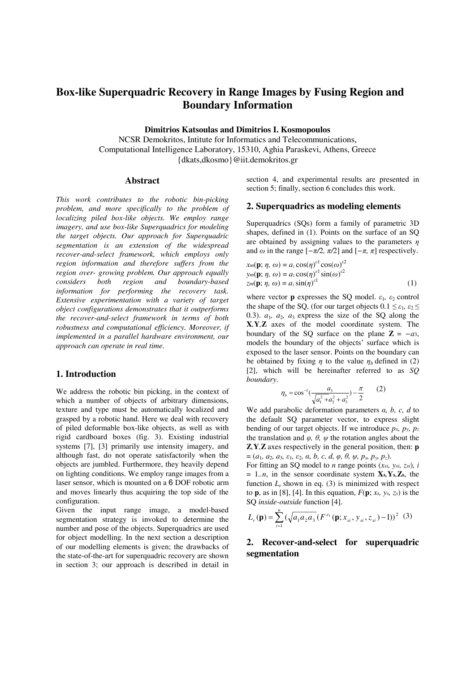# **Box-like Superquadric Recovery in Range Images by Fusing Region and Boundary Information**

**Dimitrios Katsoulas and Dimitrios I. Kosmopoulos** 

NCSR Demokritos, Intitute for Informatics and Telecommunications, Computational Intelligence Laboratory, 15310, Aghia Paraskevi, Athens, Greece {dkats,dkosmo}@iit.demokritos.gr

## **Abstract**

*This work contributes to the robotic bin-picking problem, and more specifically to the problem of localizing piled box-like objects. We employ range imagery, and use box-like Superquadrics for modeling the target objects. Our approach for Superquadric segmentation is an extension of the widespread recover-and-select framework, which employs only region information and therefore suffers from the region over- growing problem. Our approach equally considers both region and boundary-based information for performing the recovery task. Extensive experimentation with a variety of target object configurations demonstrates that it outperforms the recover-and-select framework in terms of both robustness and computational efficiency. Moreover, if implemented in a parallel hardware environment, our approach can operate in real time.*

### **1. Introduction**

We address the robotic bin picking, in the context of which a number of objects of arbitrary dimensions, texture and type must be automatically localized and grasped by a robotic hand. Here we deal with recovery of piled deformable box-like objects, as well as with rigid cardboard boxes (fig. 3). Existing industrial systems [7], [3] primarily use intensity imagery, and although fast, do not operate satisfactorily when the objects are jumbled. Furthermore, they heavily depend on lighting conditions. We employ range images from a laser sensor, which is mounted on a 6 DOF robotic arm and moves linearly thus acquiring the top side of the configuration.

Given the input range image, a model-based segmentation strategy is invoked to determine the number and pose of the objects. Superquadrics are used for object modelling. In the next section a description of our modelling elements is given; the drawbacks of the state-of-the-art for superquadric recovery are shown in section 3; our approach is described in detail in

section 4, and experimental results are presented in section 5; finally, section 6 concludes this work.

### **2. Superquadrics as modeling elements**

Superquadrics (SQs) form a family of parametric 3D shapes, defined in (1). Points on the surface of an SQ are obtained by assigning values to the parameters *η* and  $\omega$  in the range  $[-\pi/2, \pi/2]$  and  $[-\pi, \pi]$  respectively.

$$
x_m(\mathbf{p}; \eta, \omega) = a_1 \cos(\eta)^{\varepsilon 1} \cos(\omega)^{\varepsilon 2}
$$
  
\n
$$
y_m(\mathbf{p}; \eta, \omega) = a_2 \cos(\eta)^{\varepsilon 1} \sin(\omega)^{\varepsilon 2}
$$
  
\n
$$
z_m(\mathbf{p}; \eta, \omega) = a_3 \sin(\eta)^{\varepsilon 1}
$$
\n(1)

where vector **p** expresses the SQ model.  $\varepsilon_1$ ,  $\varepsilon_2$  control the shape of the SQ, (for our target objects  $0.1 \leq \varepsilon_1, \varepsilon_2 \leq$ 0.3).  $a_1$ ,  $a_2$ ,  $a_3$  express the size of the SQ along the **X***,***Y***,***Z** axes of the model coordinate system. The boundary of the SQ surface on the plane  $\mathbf{Z} = -a_3$ , models the boundary of the objects' surface which is exposed to the laser sensor. Points on the boundary can be obtained by fixing  $\eta$  to the value  $\eta_b$  defined in (2) [2], which will be hereinafter referred to as *SQ boundary*.

$$
\eta_b = \cos^{-1}\left(\frac{a_3}{\sqrt{a_1^2 + a_2^2 + a_3^2}}\right) - \frac{\pi}{2}
$$
 (2)

We add parabolic deformation parameters  $\alpha$ ,  $\beta$ ,  $c$ ,  $d$  to the default SQ parameter vector, to express slight bending of our target objects. If we introduce *px, py, pz*  the translation and  $\varphi$ ,  $\theta$ ,  $\psi$  the rotation angles about the **Z***,***Y***,***Z** axes respectively in the general position, then: **p**   $=(a_1, a_2, a_3, \varepsilon_1, \varepsilon_2, a, b, c, d, \varphi, \theta, \psi, p_x, p_y, p_z).$ 

For fitting an SQ model to *n* range points (*xsi, ysi, zsi*)*, i*   $= 1..n$ , in the sensor coordinate system  $X_s, Y_s, Z_s$ , the function  $L_r$  shown in eq. (3) is minimized with respect to **p**, as in [8], [4]. In this equation,  $F(\mathbf{p}; x_s, y_s, z_s)$  is the SQ *inside-outside* function [4].

$$
L_r(\mathbf{p}) = \sum_{i=1}^n \left( \sqrt{a_1 a_2 a_3} \left( F^{\varepsilon_1}(\mathbf{p}; x_{si}, y_{si}, z_{si}) - 1) \right)^2 \right)
$$
 (3)

## **2. Recover-and-select for superquadric segmentation**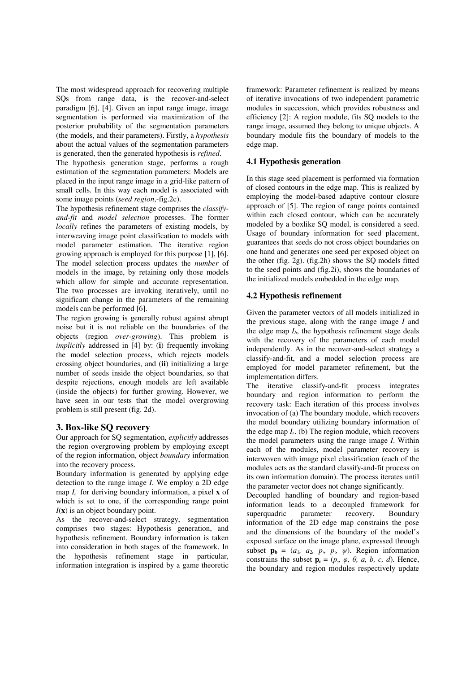The most widespread approach for recovering multiple SQs from range data, is the recover-and-select paradigm [6], [4]. Given an input range image, image segmentation is performed via maximization of the posterior probability of the segmentation parameters (the models, and their parameters). Firstly, a *hypothesis*  about the actual values of the segmentation parameters is generated, then the generated hypothesis is *refined*.

The hypothesis generation stage, performs a rough estimation of the segmentation parameters: Models are placed in the input range image in a grid-like pattern of small cells. In this way each model is associated with some image points (*seed region*,-fig.2c).

The hypothesis refinement stage comprises the *classifyand-fit* and *model selection* processes. The former *locally* refines the parameters of existing models, by interweaving image point classification to models with model parameter estimation. The iterative region growing approach is employed for this purpose [1], [6]. The model selection process updates the *number* of models in the image, by retaining only those models which allow for simple and accurate representation. The two processes are invoking iteratively, until no significant change in the parameters of the remaining models can be performed [6].

The region growing is generally robust against abrupt noise but it is not reliable on the boundaries of the objects (region *over-growing*). This problem is *implicitly* addressed in [4] by: (**i**) frequently invoking the model selection process, which rejects models crossing object boundaries, and (**ii**) initializing a large number of seeds inside the object boundaries, so that despite rejections, enough models are left available (inside the objects) for further growing. However, we have seen in our tests that the model overgrowing problem is still present (fig. 2d).

## **3. Box-like SQ recovery**

Our approach for SQ segmentation, *explicitly* addresses the region overgrowing problem by employing except of the region information, object *boundary* information into the recovery process.

Boundary information is generated by applying edge detection to the range image *I*. We employ a 2D edge map  $I_b$  for deriving boundary information, a pixel **x** of which is set to one, if the corresponding range point *I*(**x**) is an object boundary point.

As the recover-and-select strategy, segmentation comprises two stages: Hypothesis generation, and hypothesis refinement. Boundary information is taken into consideration in both stages of the framework. In the hypothesis refinement stage in particular, information integration is inspired by a game theoretic

framework: Parameter refinement is realized by means of iterative invocations of two independent parametric modules in succession, which provides robustness and efficiency [2]: A region module, fits SQ models to the range image, assumed they belong to unique objects. A boundary module fits the boundary of models to the edge map.

## **4.1 Hypothesis generation**

In this stage seed placement is performed via formation of closed contours in the edge map. This is realized by employing the model-based adaptive contour closure approach of [5]. The region of range points contained within each closed contour, which can be accurately modeled by a boxlike SQ model, is considered a seed. Usage of boundary information for seed placement, guarantees that seeds do not cross object boundaries on one hand and generates one seed per exposed object on the other (fig. 2g). (fig.2h) shows the SQ models fitted to the seed points and (fig.2i), shows the boundaries of the initialized models embedded in the edge map.

## **4.2 Hypothesis refinement**

Given the parameter vectors of all models initialized in the previous stage, along with the range image *I* and the edge map  $I<sub>b</sub>$ , the hypothesis refinement stage deals with the recovery of the parameters of each model independently. As in the recover-and-select strategy a classify-and-fit, and a model selection process are employed for model parameter refinement, but the implementation differs.

The iterative classify-and-fit process integrates boundary and region information to perform the recovery task: Each iteration of this process involves invocation of (a) The boundary module, which recovers the model boundary utilizing boundary information of the edge map  $I<sub>b</sub>$ . (b) The region module, which recovers the model parameters using the range image *I*. Within each of the modules, model parameter recovery is interwoven with image pixel classification (each of the modules acts as the standard classify-and-fit process on its own information domain). The process iterates until the parameter vector does not change significantly.

Decoupled handling of boundary and region-based information leads to a decoupled framework for superquadric parameter recovery. Boundary information of the 2D edge map constrains the pose and the dimensions of the boundary of the model's exposed surface on the image plane, expressed through subset  $\mathbf{p}_b = (a_1, a_2, p_s, p_s, \psi)$ . Region information constrains the subset  $\mathbf{p}_r = (p_y, \varphi, \theta, a, b, c, d)$ . Hence, the boundary and region modules respectively update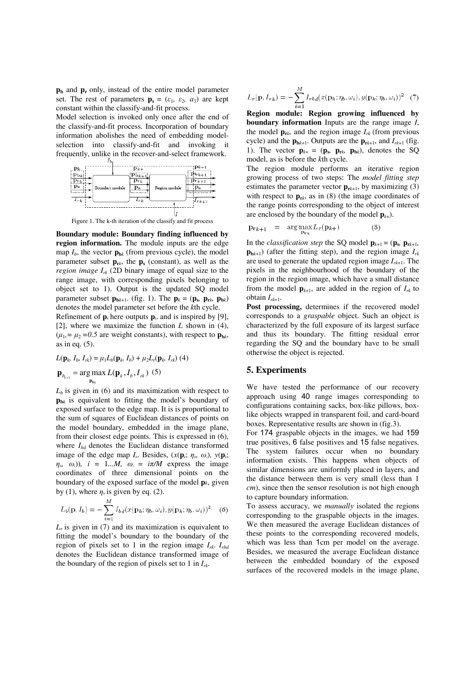**pb** and **pr** only, instead of the entire model parameter set. The rest of parameters  $\mathbf{p}_s = (\varepsilon_1, \varepsilon_2, a_3)$  are kept constant within the classify-and-fit process.

Model selection is invoked only once after the end of the classify-and-fit process. Incorporation of boundary information abolishes the need of embedding modelselection into classify-and-fit and invoking it frequently, unlike in the recover-and-select framework.



Figure 1. The k-th iteration of the classify and fit process

**Boundary module: Boundary finding influenced by region information.** The module inputs are the edge map  $I_b$ , the vector  $\mathbf{p}_{\mathbf{b}k}$  (from previous cycle), the model parameter subset  $\mathbf{p}_{rk}$ , the  $\mathbf{p}_s$  (constant), as well as the *region image*  $I_{rk}$  (2D binary image of equal size to the range image, with corresponding pixels belonging to object set to 1). Output is the updated SQ model parameter subset  $\mathbf{p}_{\mathbf{b}_{k+1}}$ . (fig. 1). The  $\mathbf{p}_k = (\mathbf{p}_s, \mathbf{p}_{\mathbf{r}_k}, \mathbf{p}_{\mathbf{b}_k})$ denotes the model parameter set before the *k*th cycle.

Refinement of  $\mathbf{p}_k$  here outputs  $\mathbf{p}_{k+}$  and is inspired by [9], [2], where we maximize the function *L* shown in (4),  $(\mu_1 = \mu_2 = 0.5$  are weight constants), with respect to  $\mathbf{p}_{\mathbf{h}k}$ , as in eq. (5).

$$
L(\mathbf{p}_k \ I_b, I_{rk}) = \mu_1 L_b(\mathbf{p}_k \ I_b) + \mu_2 L_r(\mathbf{p}_k \ I_{rk}) \ (4)
$$

$$
\mathbf{p}_{b_{k+1}} = \arg \max_{\mathbf{p}_{b_k}} L(\mathbf{p}_k, I_b, I_{rk}) \ (5)
$$

 $L<sub>b</sub>$  is given in (6) and its maximization with respect to **p**<sub>b</sub>*k* is equivalent to fitting the model's boundary of exposed surface to the edge map. It is is proportional to the sum of squares of Euclidean distances of points on the model boundary, embedded in the image plane, from their closest edge points. This is expressed in (6), where  $I_{bd}$  denotes the Euclidean distance transformed image of the edge map  $I_b$ . Besides,  $(x(\mathbf{p}_k; \eta_b, \omega_i), y(\mathbf{p}_k;$  $(\eta_b, \omega_i)$ ,  $i = 1...M$ ,  $\omega_i = i\pi/M$  express the image coordinates of three dimensional points on the boundary of the exposed surface of the model **p***k*, given by (1), where  $\eta_b$  is given by eq. (2).

$$
L_b(\mathbf{p}, I_b) = -\sum_{i=1}^{M} I_{bd}(x(\mathbf{p}_k; \eta_b, \omega_i), y(\mathbf{p}_k; \eta_b, \omega_i))^2
$$
 (6)

*Lr* is given in (7) and its maximization is equivalent to fitting the model's boundary to the boundary of the region of pixels set to 1 in the region image  $I_{rk}$ .  $I_{rbd}$ denotes the Euclidean distance transformed image of the boundary of the region of pixels set to 1 in  $I_{rk}$ .

$$
L_r(\mathbf{p}, I_{rk}) = -\sum_{i=1}^{M} I_{rbd}(x(\mathbf{p}_k; \eta_b, \omega_i), y(\mathbf{p}_k; \eta_b, \omega_i))^2
$$
 (7)

**Region module: Region growing influenced by boundary information** Inputs are the range image *I*, the model  $\mathbf{p}_{rk}$ , and the region image  $I_{rk}$  (from previous cycle) and the  $\mathbf{p}_{\mathbf{b}_{k+1}}$ . Outputs are the  $\mathbf{p}_{\mathbf{r}_{k+1}}$ , and  $I_{r_{k+1}}$  (fig. 1). The vector  $\mathbf{p}_{k+} = (\mathbf{p}_s \ \mathbf{p}_{rk}, \ \mathbf{p}_{bk})$ , denotes the SQ model, as is before the *k*th cycle.

The region module performs an iterative region growing process of two steps: The *model fitting step* estimates the parameter vector  $\mathbf{p}_{\text{rk}+1}$ , by maximizing (3) with respect to  $\mathbf{p}_{\text{rk}}$ , as in (8) (the image coordinates of the range points corresponding to the object of interest are enclosed by the boundary of the model  $\mathbf{p}_{k+}$ ).

$$
\mathbf{p}_{r,k+1} = \arg \max_{\mathbf{p}} L_r(\mathbf{p}_{k+}) \tag{8}
$$

In the *classification step* the SQ model  $\mathbf{p}_{k+1} = (\mathbf{p}_s, \mathbf{p}_{rk+1},$  $\mathbf{p}_{\mathbf{b}_{k+1}}$ ) (after the fitting step), and the region image  $I_{rk}$ are used to generate the updated region image  $I_{rk+1}$ . The pixels in the neighbourhood of the boundary of the region in the region image, which have a small distance from the model  $\mathbf{p}_{k+1}$ , are added in the region of  $I_{rk}$  to obtain *Irk*+1.

**Post processing,** determines if the recovered model corresponds to a *graspable* object. Such an object is characterized by the full exposure of its largest surface and thus its boundary. The fitting residual error regarding the SQ and the boundary have to be small otherwise the object is rejected.

#### **5. Experiments**

We have tested the performance of our recovery approach using 40 range images corresponding to configurations containing sacks, box-like pillows, boxlike objects wrapped in transparent foil, and card-board boxes. Representative results are shown in (fig.3).

For 174 graspable objects in the images, we had 159 true positives, 6 false positives and 15 false negatives. The system failures occur when no boundary information exists. This happens when objects of similar dimensions are uniformly placed in layers, and the distance between them is very small (less than 1 *cm*), since then the sensor resolution is not high enough to capture boundary information.

To assess accuracy, we *manually* isolated the regions corresponding to the graspable objects in the images. We then measured the average Euclidean distances of these points to the corresponding recovered models, which was less than 1cm per model on the average. Besides, we measured the average Euclidean distance between the embedded boundary of the exposed surfaces of the recovered models in the image plane,